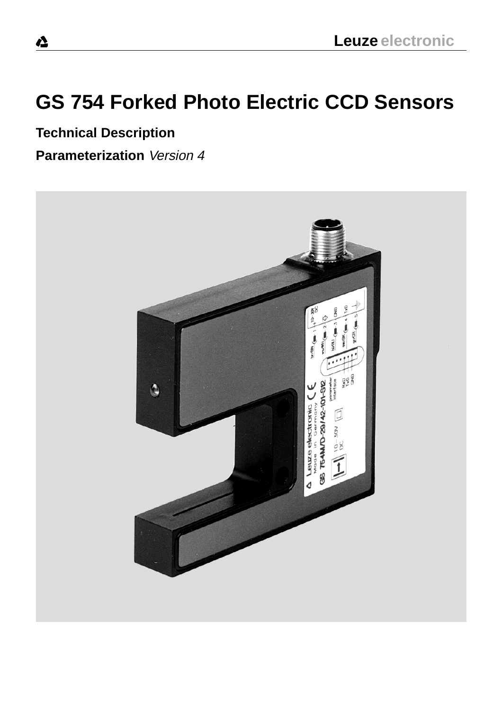## **GS 754 Forked Photo Electric CCD Sensors**

**Technical Description**

**Parameterization** Version 4

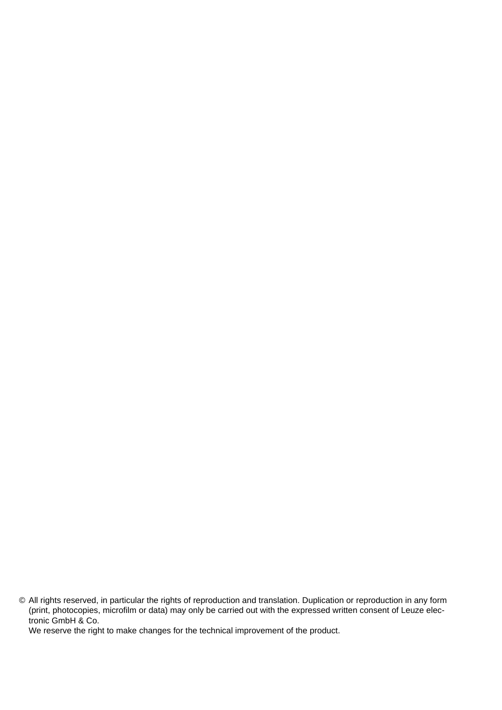We reserve the right to make changes for the technical improvement of the product.

<sup>©</sup> All rights reserved, in particular the rights of reproduction and translation. Duplication or reproduction in any form (print, photocopies, microfilm or data) may only be carried out with the expressed written consent of Leuze electronic GmbH & Co.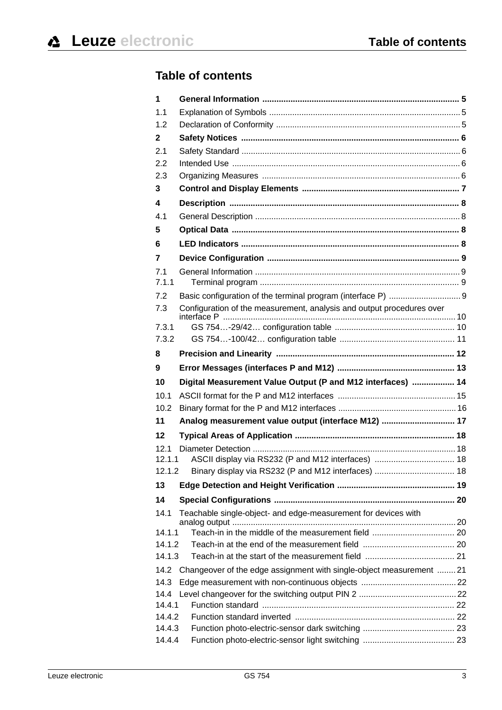## **Table of contents**

| 1                |                                                                       |  |
|------------------|-----------------------------------------------------------------------|--|
| 1.1              |                                                                       |  |
| 1.2              |                                                                       |  |
| $\mathbf{2}$     |                                                                       |  |
| 2.1              |                                                                       |  |
| 2.2              |                                                                       |  |
| 2.3              |                                                                       |  |
| 3                |                                                                       |  |
| 4                |                                                                       |  |
| 4.1              |                                                                       |  |
| 5                |                                                                       |  |
| 6                |                                                                       |  |
| 7                |                                                                       |  |
| 7.1              |                                                                       |  |
| 7.1.1            |                                                                       |  |
| 7.2              |                                                                       |  |
| 7.3              | Configuration of the measurement, analysis and output procedures over |  |
| 7.3.1            |                                                                       |  |
| 7.3.2            |                                                                       |  |
| 8                |                                                                       |  |
| 9                |                                                                       |  |
| 10               | Digital Measurement Value Output (P and M12 interfaces)  14           |  |
| 10.1             |                                                                       |  |
| 10.2             |                                                                       |  |
| 11               | Analog measurement value output (interface M12)  17                   |  |
| 12               |                                                                       |  |
| 12.1             |                                                                       |  |
| 12.1.1           | ASCII display via RS232 (P and M12 interfaces)  18                    |  |
| 12.1.2           | Binary display via RS232 (P and M12 interfaces)  18                   |  |
| 13               |                                                                       |  |
| 14               |                                                                       |  |
| 14.1             | Teachable single-object- and edge-measurement for devices with        |  |
| 14.1.1           |                                                                       |  |
|                  |                                                                       |  |
| 14.1.2           |                                                                       |  |
| 14.1.3           |                                                                       |  |
| 14.2             | Changeover of the edge assignment with single-object measurement  21  |  |
| 14.3             |                                                                       |  |
| 14.4             |                                                                       |  |
| 14.4.1           |                                                                       |  |
| 14.4.2           |                                                                       |  |
| 14.4.3<br>14.4.4 |                                                                       |  |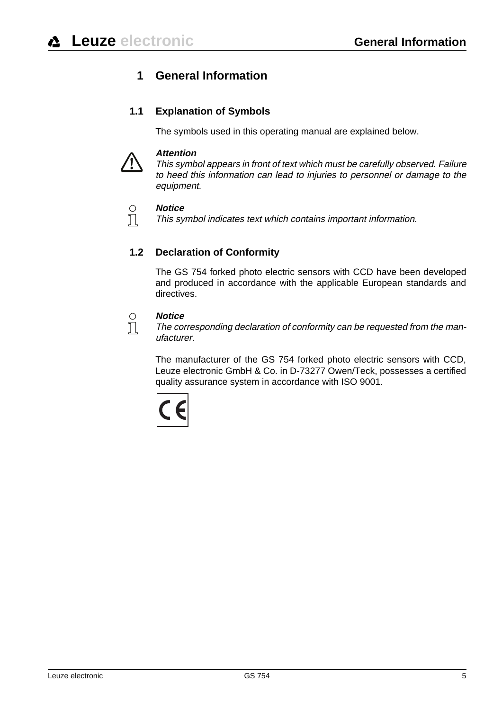## <span id="page-3-0"></span>**1 General Information**

## **1.1 Explanation of Symbols**

<span id="page-3-1"></span>The symbols used in this operating manual are explained below.



#### **Attention**

This symbol appears in front of text which must be carefully observed. Failure to heed this information can lead to injuries to personnel or damage to the equipment.



#### **Notice**

This symbol indicates text which contains important information.

## **1.2 Declaration of Conformity**

<span id="page-3-2"></span>The GS 754 forked photo electric sensors with CCD have been developed and produced in accordance with the applicable European standards and directives.

#### **Notice**

 $\sum_{i=1}^{n}$ 

#### The corresponding declaration of conformity can be requested from the manufacturer.

The manufacturer of the GS 754 forked photo electric sensors with CCD, Leuze electronic GmbH & Co. in D-73277 Owen/Teck, possesses a certified quality assurance system in accordance with ISO 9001.

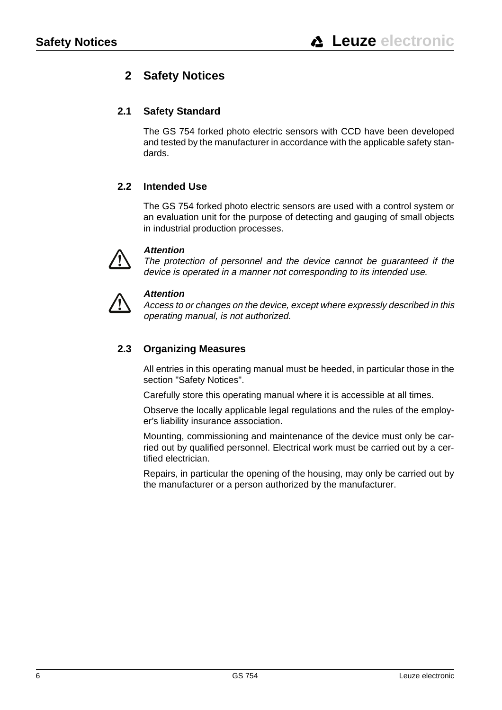## <span id="page-4-0"></span>**2 Safety Notices**

## **2.1 Safety Standard**

<span id="page-4-1"></span>The GS 754 forked photo electric sensors with CCD have been developed and tested by the manufacturer in accordance with the applicable safety standards.

## **2.2 Intended Use**

<span id="page-4-2"></span>The GS 754 forked photo electric sensors are used with a control system or an evaluation unit for the purpose of detecting and gauging of small objects in industrial production processes.



#### **Attention**

The protection of personnel and the device cannot be guaranteed if the device is operated in a manner not corresponding to its intended use.



#### **Attention**

Access to or changes on the device, except where expressly described in this operating manual, is not authorized.

## **2.3 Organizing Measures**

<span id="page-4-3"></span>All entries in this operating manual must be heeded, in particular those in the section "Safety Notices".

Carefully store this operating manual where it is accessible at all times.

Observe the locally applicable legal regulations and the rules of the employer's liability insurance association.

Mounting, commissioning and maintenance of the device must only be carried out by qualified personnel. Electrical work must be carried out by a certified electrician.

Repairs, in particular the opening of the housing, may only be carried out by the manufacturer or a person authorized by the manufacturer.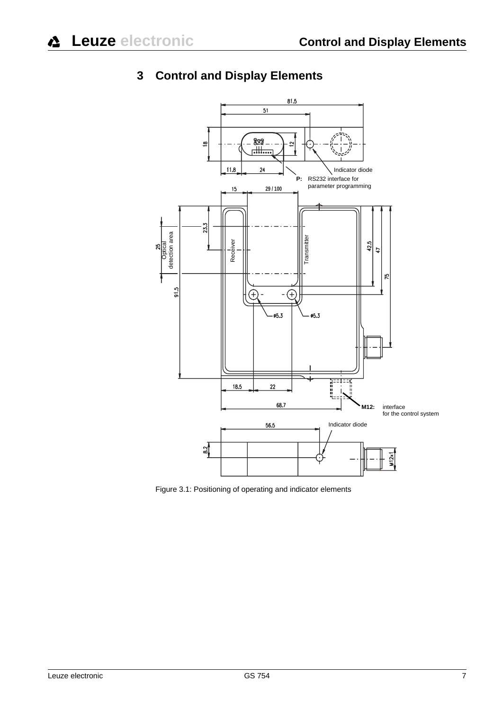

## <span id="page-5-0"></span>**3 Control and Display Elements**

<span id="page-5-1"></span>Figure 3.1: Positioning of operating and indicator elements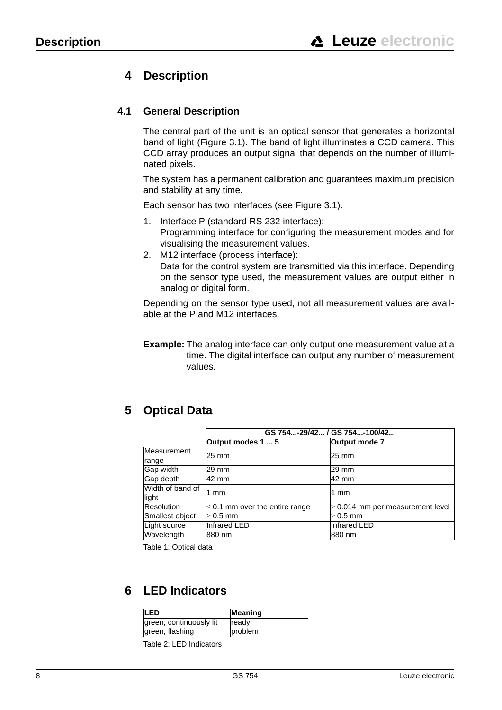## <span id="page-6-0"></span>**4 Description**

### **4.1 General Description**

<span id="page-6-1"></span>The central part of the unit is an optical sensor that generates a horizontal band of light [\(Figure 3.1](#page-5-1)). The band of light illuminates a CCD camera. This CCD array produces an output signal that depends on the number of illuminated pixels.

The system has a permanent calibration and guarantees maximum precision and stability at any time.

Each sensor has two interfaces (see [Figure 3.1\)](#page-5-1).

- 1. Interface P (standard RS 232 interface): Programming interface for configuring the measurement modes and for visualising the measurement values.
- 2. M12 interface (process interface): Data for the control system are transmitted via this interface. Depending on the sensor type used, the measurement values are output either in analog or digital form.

Depending on the sensor type used, not all measurement values are available at the P and M12 interfaces.

**Example:** The analog interface can only output one measurement value at a time. The digital interface can output any number of measurement values.

## <span id="page-6-2"></span>**5 Optical Data**

|                   |                                     | GS 754-29/42 / GS 754-100/42          |  |  |  |  |
|-------------------|-------------------------------------|---------------------------------------|--|--|--|--|
|                   | Output modes 1  5                   | Output mode 7                         |  |  |  |  |
| Measurement       | 25 mm                               | 25 mm                                 |  |  |  |  |
| range             |                                     |                                       |  |  |  |  |
| Gap width         | 129 mm                              | 29 mm                                 |  |  |  |  |
| Gap depth         | 42 mm                               | 42 mm                                 |  |  |  |  |
| Width of band of  | 1 mm                                | 1 mm                                  |  |  |  |  |
| light             |                                     |                                       |  |  |  |  |
| <b>Resolution</b> | $\leq$ 0.1 mm over the entire range | $\geq$ 0.014 mm per measurement level |  |  |  |  |
| Smallest object   | $\geq 0.5$ mm                       | $\geq 0.5$ mm                         |  |  |  |  |
| Light source      | <b>Infrared LED</b>                 | <b>Infrared LED</b>                   |  |  |  |  |
| Wavelength        | 880 nm                              | 880 nm                                |  |  |  |  |

Table 1: Optical data

## <span id="page-6-3"></span>**6 LED Indicators**

| <b>LED</b>              | Meaning |
|-------------------------|---------|
| green, continuously lit | ready   |
| green, flashing         | problem |

Table 2: LED Indicators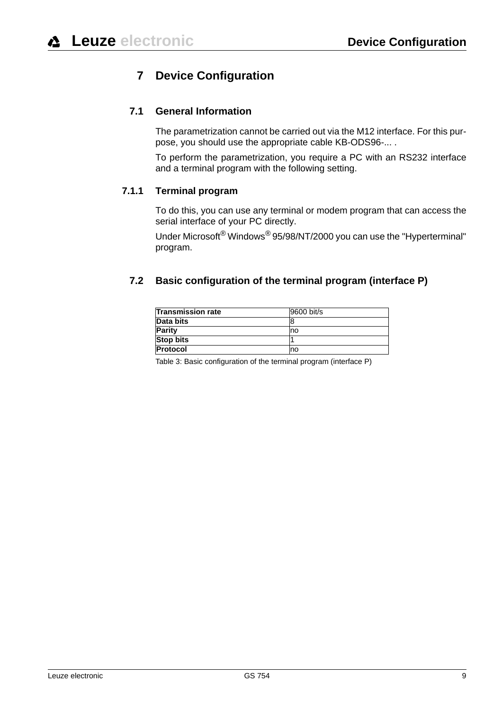## <span id="page-7-0"></span>**7 Device Configuration**

## **7.1 General Information**

<span id="page-7-1"></span>The parametrization cannot be carried out via the M12 interface. For this purpose, you should use the appropriate cable KB-ODS96-... .

To perform the parametrization, you require a PC with an RS232 interface and a terminal program with the following setting.

#### **7.1.1 Terminal program**

<span id="page-7-2"></span>To do this, you can use any terminal or modem program that can access the serial interface of your PC directly.

Under Microsoft® Windows® 95/98/NT/2000 you can use the "Hyperterminal" program.

## <span id="page-7-3"></span>**7.2 Basic configuration of the terminal program (interface P)**

| <b>Transmission rate</b> | 9600 bit/s |
|--------------------------|------------|
| Data bits                |            |
| <b>Parity</b>            | mo         |
| <b>Stop bits</b>         |            |
| <b>Protocol</b>          | no         |

Table 3: Basic configuration of the terminal program (interface P)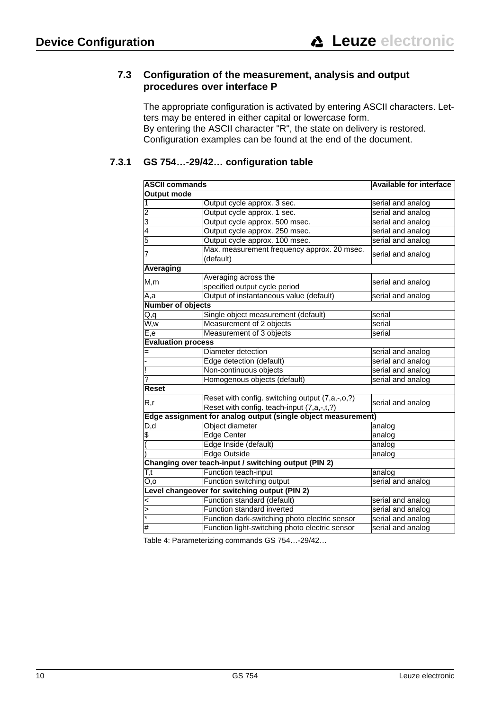#### <span id="page-8-0"></span>**7.3 Configuration of the measurement, analysis and output procedures over interface P**

The appropriate configuration is activated by entering ASCII characters. Letters may be entered in either capital or lowercase form. By entering the ASCII character "R", the state on delivery is restored. Configuration examples can be found at the end of the document.

## **7.3.1 GS 754…-29/42… configuration table**

<span id="page-8-1"></span>

| <b>ASCII commands</b>     |                                                               | <b>Available for interface</b> |  |  |
|---------------------------|---------------------------------------------------------------|--------------------------------|--|--|
| Output mode               |                                                               |                                |  |  |
|                           | Output cycle approx. 3 sec.                                   | serial and analog              |  |  |
| 2                         | Output cycle approx. 1 sec.                                   | serial and analog              |  |  |
| 3                         | Output cycle approx. 500 msec.                                | serial and analog              |  |  |
| 4                         | Output cycle approx. 250 msec.                                | serial and analog              |  |  |
| 5                         | Output cycle approx. 100 msec.                                | serial and analog              |  |  |
| 7                         | Max. measurement frequency approx. 20 msec.                   |                                |  |  |
|                           | serial and analog                                             |                                |  |  |
| Averaging                 |                                                               |                                |  |  |
| M,m                       | Averaging across the                                          |                                |  |  |
|                           | specified output cycle period                                 | serial and analog              |  |  |
| A,a                       | Output of instantaneous value (default)                       | serial and analog              |  |  |
| <b>Number of objects</b>  |                                                               |                                |  |  |
| Q,q                       | Single object measurement (default)                           | serial                         |  |  |
| W,w                       | Measurement of 2 objects                                      | serial                         |  |  |
| E,e                       | Measurement of 3 objects                                      | serial                         |  |  |
| <b>Evaluation process</b> |                                                               |                                |  |  |
|                           | Diameter detection                                            | serial and analog              |  |  |
|                           | Edge detection (default)                                      | serial and analog              |  |  |
|                           | Non-continuous objects                                        | serial and analog              |  |  |
| ?                         | Homogenous objects (default)                                  |                                |  |  |
| Reset                     |                                                               |                                |  |  |
| R,r                       | Reset with config. switching output (7,a,-,o,?)               |                                |  |  |
|                           | Reset with config. teach-input (7,a,-,t,?)                    | serial and analog              |  |  |
|                           | Edge assignment for analog output (single object measurement) |                                |  |  |
| D,d                       | Object diameter                                               | analog                         |  |  |
| \$                        | <b>Edge Center</b>                                            | analog                         |  |  |
|                           | Edge Inside (default)                                         | analog                         |  |  |
|                           | <b>Edge Outside</b>                                           | analog                         |  |  |
|                           | Changing over teach-input / switching output (PIN 2)          |                                |  |  |
| T,t                       | Function teach-input                                          |                                |  |  |
| O,o                       | Function switching output                                     | serial and analog              |  |  |
|                           | Level changeover for switching output (PIN 2)                 |                                |  |  |
| <                         | Function standard (default)                                   | serial and analog              |  |  |
| >                         | Function standard inverted                                    | serial and analog              |  |  |
|                           | Function dark-switching photo electric sensor                 | serial and analog              |  |  |
| #                         | Function light-switching photo electric sensor                | serial and analog              |  |  |

Table 4: Parameterizing commands GS 754…-29/42…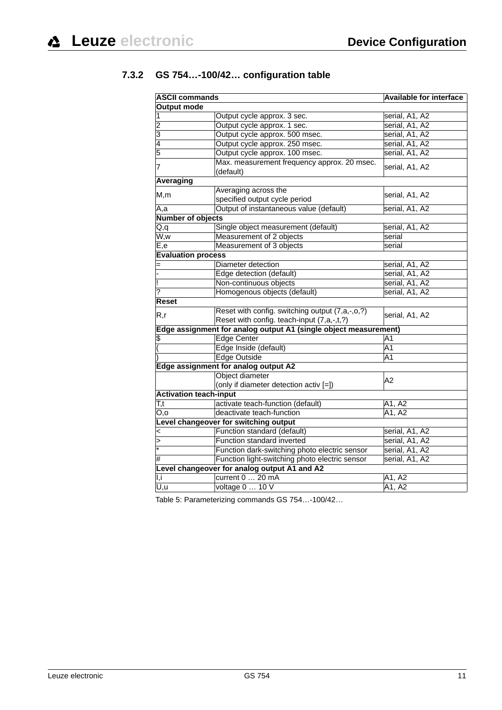## **7.3.2 GS 754…-100/42… configuration table**

<span id="page-9-0"></span>

| <b>ASCII commands</b>              | <b>Available for interface</b>                                                                |                |  |  |  |  |
|------------------------------------|-----------------------------------------------------------------------------------------------|----------------|--|--|--|--|
| <b>Output mode</b>                 |                                                                                               |                |  |  |  |  |
|                                    | Output cycle approx. 3 sec.                                                                   | serial, A1, A2 |  |  |  |  |
| $\overline{2}$                     | Output cycle approx. 1 sec.                                                                   | serial, A1, A2 |  |  |  |  |
| 3                                  | Output cycle approx. 500 msec.                                                                | serial, A1, A2 |  |  |  |  |
| 4                                  | Output cycle approx. 250 msec.                                                                | serial, A1, A2 |  |  |  |  |
| 5                                  | Output cycle approx. 100 msec.                                                                | serial, A1, A2 |  |  |  |  |
| 7                                  | Max. measurement frequency approx. 20 msec.<br>(default)                                      | serial, A1, A2 |  |  |  |  |
| Averaging                          |                                                                                               |                |  |  |  |  |
|                                    | Averaging across the                                                                          |                |  |  |  |  |
| M,m                                | specified output cycle period                                                                 | serial, A1, A2 |  |  |  |  |
| A,a                                | Output of instantaneous value (default)                                                       | serial, A1, A2 |  |  |  |  |
| Number of objects                  |                                                                                               |                |  |  |  |  |
| Q,q                                | Single object measurement (default)                                                           | serial, A1, A2 |  |  |  |  |
| $\overline{\mathsf{W},\mathsf{w}}$ | Measurement of 2 objects                                                                      | serial         |  |  |  |  |
| E,e                                | Measurement of 3 objects                                                                      | serial         |  |  |  |  |
| <b>Evaluation process</b>          |                                                                                               |                |  |  |  |  |
|                                    | Diameter detection                                                                            | serial, A1, A2 |  |  |  |  |
|                                    | Edge detection (default)                                                                      | serial, A1, A2 |  |  |  |  |
|                                    | Non-continuous objects                                                                        | serial, A1, A2 |  |  |  |  |
| ?                                  | Homogenous objects (default)                                                                  | serial, A1, A2 |  |  |  |  |
| <b>Reset</b>                       |                                                                                               |                |  |  |  |  |
| R,r                                | Reset with config. switching output (7,a,-,o,?)<br>Reset with config. teach-input (7,a,-,t,?) | serial, A1, A2 |  |  |  |  |
|                                    | Edge assignment for analog output A1 (single object measurement)                              |                |  |  |  |  |
| θ                                  | <b>Edge Center</b>                                                                            | A <sub>1</sub> |  |  |  |  |
|                                    | Edge Inside (default)                                                                         | A <sub>1</sub> |  |  |  |  |
|                                    | <b>Edge Outside</b>                                                                           | A1             |  |  |  |  |
|                                    | Edge assignment for analog output A2                                                          |                |  |  |  |  |
|                                    | Object diameter                                                                               | A2             |  |  |  |  |
|                                    | (only if diameter detection activ [=])                                                        |                |  |  |  |  |
| <b>Activation teach-input</b>      |                                                                                               |                |  |  |  |  |
| T,t                                | activate teach-function (default)                                                             | A1, A2         |  |  |  |  |
| O,o                                | deactivate teach-function                                                                     | A1, A2         |  |  |  |  |
|                                    | Level changeover for switching output                                                         |                |  |  |  |  |
| <                                  | Function standard (default)                                                                   | serial, A1, A2 |  |  |  |  |
| $\mathbf{r}$                       | Function standard inverted                                                                    | serial, A1, A2 |  |  |  |  |
|                                    | Function dark-switching photo electric sensor                                                 | serial, A1, A2 |  |  |  |  |
| #                                  | Function light-switching photo electric sensor                                                | serial, A1, A2 |  |  |  |  |
|                                    | Level changeover for analog output A1 and A2                                                  |                |  |  |  |  |
| I,i                                | current 0  20 mA                                                                              | A1, A2         |  |  |  |  |
| $\overline{U,}$ u                  | voltage 0  10 V                                                                               | A1, A2         |  |  |  |  |

Table 5: Parameterizing commands GS 754…-100/42…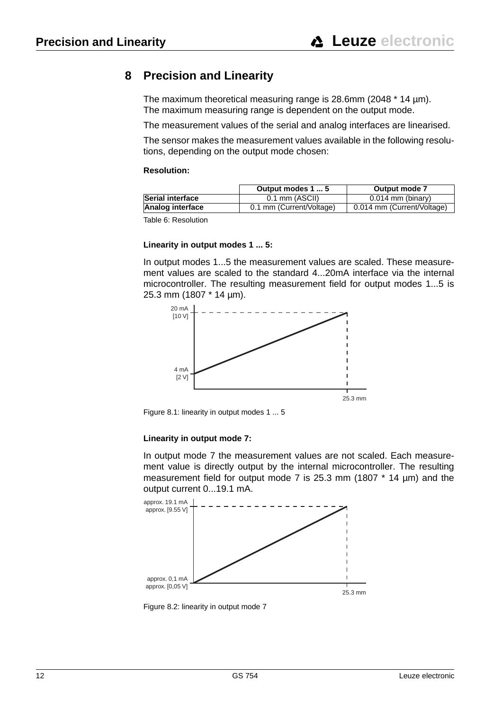## <span id="page-10-1"></span><span id="page-10-0"></span>**8 Precision and Linearity**

The maximum theoretical measuring range is 28.6mm (2048 \* 14 µm). The maximum measuring range is dependent on the output mode.

The measurement values of the serial and analog interfaces are linearised.

The sensor makes the measurement values available in the following resolutions, depending on the output mode chosen:

#### **Resolution:**

|                         | Output modes 1  5        | Output mode 7              |  |
|-------------------------|--------------------------|----------------------------|--|
| <b>Serial interface</b> | $0.1$ mm (ASCII)         | $0.014$ mm (binary)        |  |
| <b>Analog interface</b> | 0.1 mm (Current/Voltage) | 0.014 mm (Current/Voltage) |  |
|                         |                          |                            |  |

Table 6: Resolution

#### **Linearity in output modes 1 ... 5:**

In output modes 1...5 the measurement values are scaled. These measurement values are scaled to the standard 4...20mA interface via the internal microcontroller. The resulting measurement field for output modes 1...5 is 25.3 mm (1807 \* 14 µm).



Figure 8.1: linearity in output modes 1 ... 5

#### **Linearity in output mode 7:**

In output mode 7 the measurement values are not scaled. Each measurement value is directly output by the internal microcontroller. The resulting measurement field for output mode 7 is 25.3 mm (1807 \* 14 µm) and the output current 0...19.1 mA.



Figure 8.2: linearity in output mode 7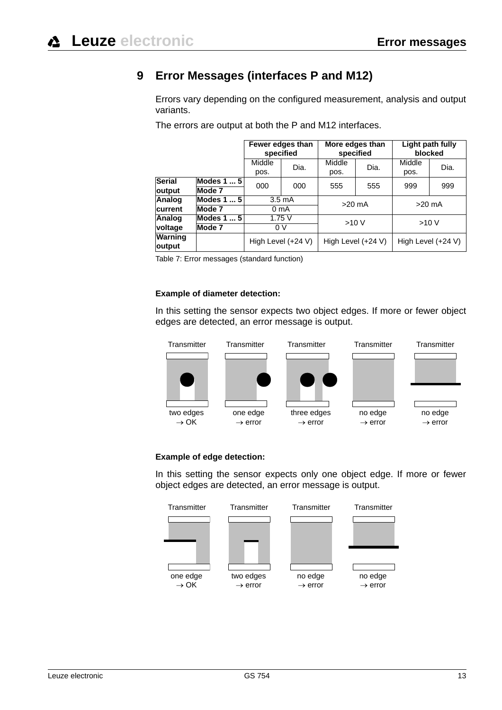## <span id="page-11-0"></span>**9 Error Messages (interfaces P and M12)**

Errors vary depending on the configured measurement, analysis and output variants.

The errors are output at both the P and M12 interfaces.

|                         |                            | Fewer edges than<br>specified |                      | More edges than<br>specified |      | Light path fully<br>blocked |      |
|-------------------------|----------------------------|-------------------------------|----------------------|------------------------------|------|-----------------------------|------|
|                         |                            | Middle<br>Dia.<br>pos.        |                      | Middle<br>pos.               | Dia. | Middle<br>pos.              | Dia. |
| <b>Serial</b><br>output | Modes 1  5<br>Mode 7       | 000                           | 000                  | 555                          | 555  | 999                         | 999  |
| Analog                  | Modes 1  5                 | $3.5 \text{ mA}$              |                      | $>20$ mA                     |      | $>20$ mA                    |      |
| <b>current</b>          | Mode 7<br>0 <sub>m</sub> A |                               |                      |                              |      |                             |      |
| Analog<br>voltage       | Modes 1  5<br>Mode 7       | 1.75V<br>0 <sup>V</sup>       |                      | >10V                         |      | >10V                        |      |
| Warning<br>output       | High Level (+24 V)         |                               | High Level $(+24 V)$ |                              |      | High Level (+24 V)          |      |

Table 7: Error messages (standard function)

#### **Example of diameter detection:**

In this setting the sensor expects two object edges. If more or fewer object edges are detected, an error message is output.



#### **Example of edge detection:**

In this setting the sensor expects only one object edge. If more or fewer object edges are detected, an error message is output.

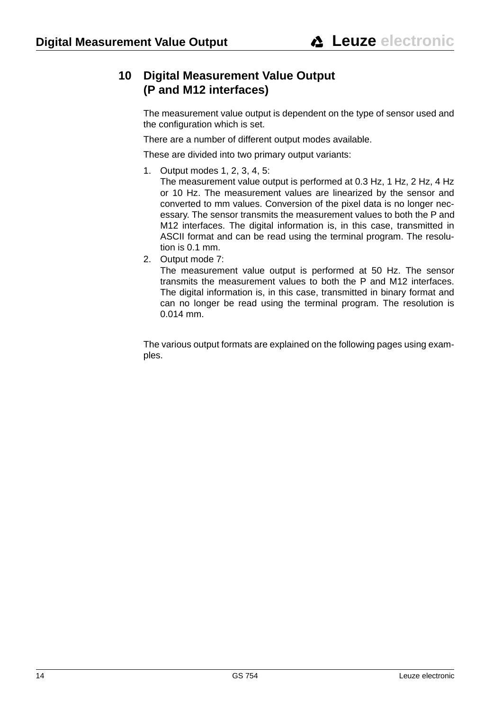## <span id="page-12-0"></span>**10 Digital Measurement Value Output (P and M12 interfaces)**

The measurement value output is dependent on the type of sensor used and the configuration which is set.

There are a number of different output modes available.

These are divided into two primary output variants:

1. Output modes 1, 2, 3, 4, 5:

The measurement value output is performed at 0.3 Hz, 1 Hz, 2 Hz, 4 Hz or 10 Hz. The measurement values are linearized by the sensor and converted to mm values. Conversion of the pixel data is no longer necessary. The sensor transmits the measurement values to both the P and M12 interfaces. The digital information is, in this case, transmitted in ASCII format and can be read using the terminal program. The resolution is 0.1 mm.

2. Output mode 7:

The measurement value output is performed at 50 Hz. The sensor transmits the measurement values to both the P and M12 interfaces. The digital information is, in this case, transmitted in binary format and can no longer be read using the terminal program. The resolution is 0.014 mm.

The various output formats are explained on the following pages using examples.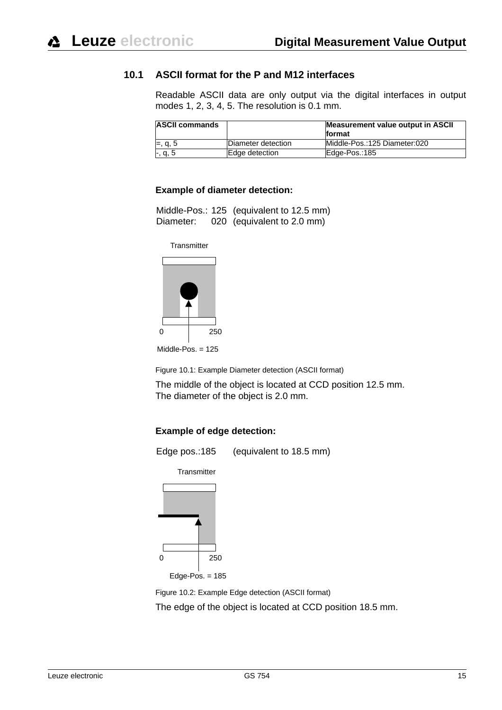#### **10.1 ASCII format for the P and M12 interfaces**

<span id="page-13-0"></span>Readable ASCII data are only output via the digital interfaces in output modes 1, 2, 3, 4, 5. The resolution is 0.1 mm.

| <b>ASCII commands</b> |                    | Measurement value output in ASCII |
|-----------------------|--------------------|-----------------------------------|
|                       |                    | format                            |
| $=, q, 5$             | Diameter detection | Middle-Pos.:125 Diameter:020      |
| $-, q, 5$             | Edge detection     | Edge-Pos.:185                     |

#### **Example of diameter detection:**

|           | Middle-Pos.: 125 (equivalent to 12.5 mm) |
|-----------|------------------------------------------|
| Diameter: | 020 (equivalent to 2.0 mm)               |

**Transmitter** 



Middle-Pos. = 125

Figure 10.1: Example Diameter detection (ASCII format)

The middle of the object is located at CCD position 12.5 mm. The diameter of the object is 2.0 mm.

#### **Example of edge detection:**



0 250

Edge-Pos. = 185

Figure 10.2: Example Edge detection (ASCII format)

The edge of the object is located at CCD position 18.5 mm.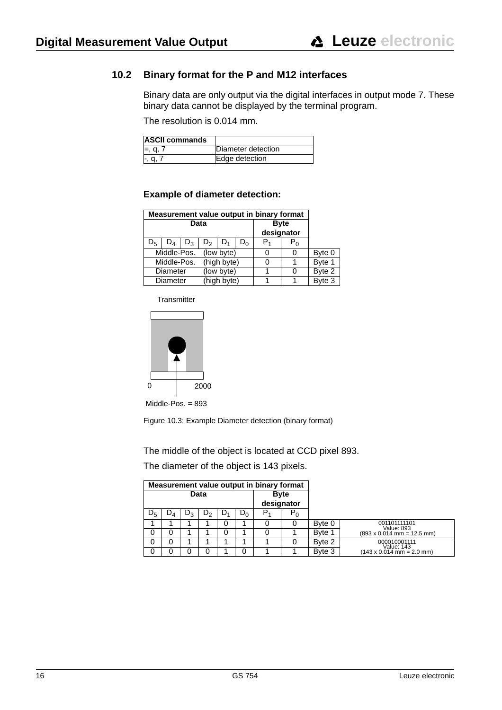## <span id="page-14-1"></span>**10.2 Binary format for the P and M12 interfaces**

<span id="page-14-0"></span>Binary data are only output via the digital interfaces in output mode 7. These binary data cannot be displayed by the terminal program.

The resolution is 0.014 mm.

| <b>ASCII commands</b> |                    |
|-----------------------|--------------------|
| $=, q, r$             | Diameter detection |
|                       | Edge detection     |

#### **Example of diameter detection:**

| Measurement value output in binary format   |  |  |  |  |   |        |            |  |
|---------------------------------------------|--|--|--|--|---|--------|------------|--|
| Data<br><b>Byte</b>                         |  |  |  |  |   |        |            |  |
|                                             |  |  |  |  |   |        | designator |  |
| $D_{5}$<br>$D_2$<br>$D_3$<br>υ <sub>0</sub> |  |  |  |  |   | ۲η     |            |  |
| Middle-Pos.<br>(low byte)                   |  |  |  |  |   | Byte 0 |            |  |
| (high byte)<br>Middle-Pos.                  |  |  |  |  |   | Byte 1 |            |  |
| (low byte)<br>Diameter                      |  |  |  |  | O | Byte 2 |            |  |
| (high byte)<br>Diameter                     |  |  |  |  |   | Byte 3 |            |  |

**Transmitter** 



Middle-Pos. = 893

Figure 10.3: Example Diameter detection (binary format)

The middle of the object is located at CCD pixel 893.

The diameter of the object is 143 pixels.

|       | Measurement value output in binary format |    |    |    |       |                |                           |        |                                                   |  |
|-------|-------------------------------------------|----|----|----|-------|----------------|---------------------------|--------|---------------------------------------------------|--|
|       | Data                                      |    |    |    |       |                | <b>Byte</b><br>designator |        |                                                   |  |
| $D_5$ | $D_{\mathcal{A}}$                         | יש | υ, | D٠ | $D_0$ | P <sub>4</sub> | ${\sf P}_0$               |        |                                                   |  |
|       |                                           |    |    | 0  | 1     |                |                           | Byte 0 | 001101111101<br>Value: 893                        |  |
| 0     |                                           |    |    | 0  | 1     |                |                           | Byte 1 | $(893 \times 0.014 \text{ mm} = 12.5 \text{ mm})$ |  |
| 0     |                                           |    |    |    | 4     |                | 0                         | Byte 2 | 000010001111<br>Value: 143                        |  |
| 0     |                                           |    |    |    | 0     |                |                           | Byte 3 | $(143 \times 0.014 \text{ mm} = 2.0 \text{ mm})$  |  |

| 16 | GS 754 | Leuze electronic |
|----|--------|------------------|
|    |        |                  |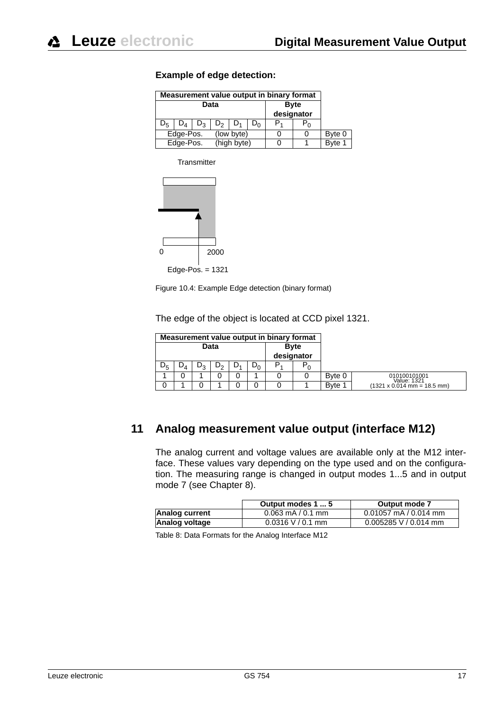| Measurement value output in binary format |                   |       |                |                           |  |        |         |        |
|-------------------------------------------|-------------------|-------|----------------|---------------------------|--|--------|---------|--------|
|                                           |                   | Data  |                | <b>Byte</b><br>designator |  |        |         |        |
| Dς                                        | $D_{\mathcal{A}}$ | $D_3$ | D <sub>2</sub> |                           |  | P,     | $P_{0}$ |        |
| Edge-Pos.<br>(low byte)                   |                   |       |                |                           |  | Byte 0 |         |        |
| Edge-Pos.                                 |                   |       | (high byte)    |                           |  |        |         | Byte 1 |

#### **Example of edge detection:**

**Transmitter** 



Figure 10.4: Example Edge detection (binary format)

The edge of the object is located at CCD pixel 1321.

|                      | Measurement value output in binary format |  |  |  |  |    |             |        |                                                    |  |  |
|----------------------|-------------------------------------------|--|--|--|--|----|-------------|--------|----------------------------------------------------|--|--|
| Data<br><b>B</b> vte |                                           |  |  |  |  |    |             |        |                                                    |  |  |
|                      |                                           |  |  |  |  |    | designator  |        |                                                    |  |  |
| $\nu_5$              | $D_0$<br>υ <sub>3</sub><br>⊿⊿             |  |  |  |  | P. | ${\sf P}_0$ |        |                                                    |  |  |
|                      |                                           |  |  |  |  |    |             | Byte 0 | 010100101001<br>Value: 1321                        |  |  |
|                      |                                           |  |  |  |  |    |             | Byte 1 | $(1321 \times 0.014 \text{ mm} = 18.5 \text{ mm})$ |  |  |

## <span id="page-15-0"></span>**11 Analog measurement value output (interface M12)**

The analog current and voltage values are available only at the M12 interface. These values vary depending on the type used and on the configuration. The measuring range is changed in output modes 1...5 and in output mode 7 (see [Chapter 8\)](#page-10-1).

|                | Output modes 1  5     | Output mode 7             |
|----------------|-----------------------|---------------------------|
| Analog current | $0.063$ mA / $0.1$ mm | $0.01057$ mA / $0.014$ mm |
| Analog voltage | $0.0316$ V / 0.1 mm   | $0.005285$ V / 0.014 mm   |

Table 8: Data Formats for the Analog Interface M12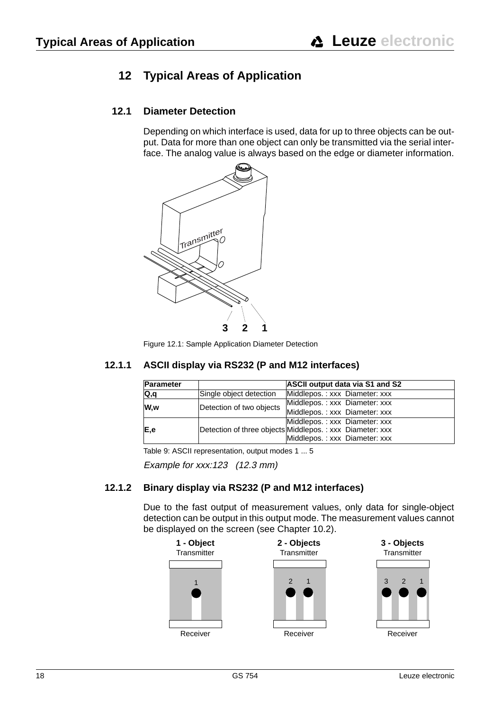## <span id="page-16-0"></span>**12 Typical Areas of Application**

## **12.1 Diameter Detection**

<span id="page-16-1"></span>Depending on which interface is used, data for up to three objects can be output. Data for more than one object can only be transmitted via the serial interface. The analog value is always based on the edge or diameter information.



Figure 12.1: Sample Application Diameter Detection

### **12.1.1 ASCII display via RS232 (P and M12 interfaces)**

<span id="page-16-2"></span>

| <b>Parameter</b> |                          | <b>ASCII output data via S1 and S2</b>                   |  |  |
|------------------|--------------------------|----------------------------------------------------------|--|--|
| Q,q              | Single object detection  | Middlepos.: xxx Diameter: xxx                            |  |  |
|                  |                          | Middlepos.: xxx Diameter: xxx                            |  |  |
| W.w              | Detection of two objects | Middlepos.: xxx Diameter: xxx                            |  |  |
|                  |                          | Middlepos.: xxx Diameter: xxx                            |  |  |
| E,e              |                          | Detection of three objects Middlepos.: xxx Diameter: xxx |  |  |
|                  |                          | Middlepos.: xxx Diameter: xxx                            |  |  |

Table 9: ASCII representation, output modes 1 ... 5

<span id="page-16-3"></span>Example for xxx:123 (12.3 mm)

### **12.1.2 Binary display via RS232 (P and M12 interfaces)**

Due to the fast output of measurement values, only data for single-object detection can be output in this output mode. The measurement values cannot be displayed on the screen (see [Chapter 10.2](#page-14-1)).

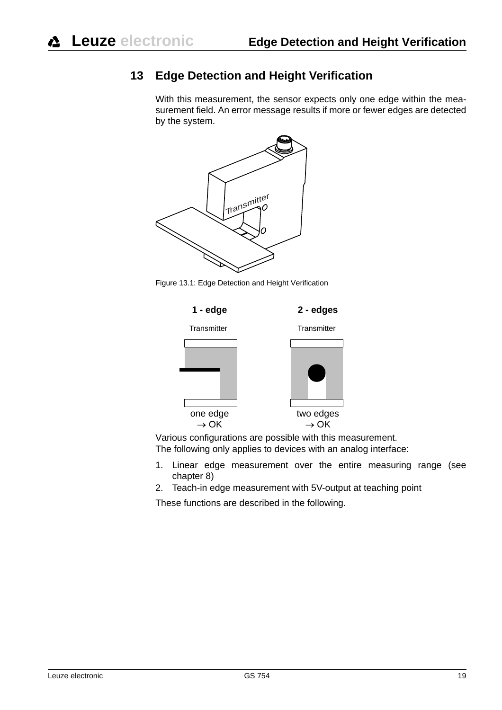## <span id="page-17-0"></span>**13 Edge Detection and Height Verification**

With this measurement, the sensor expects only one edge within the measurement field. An error message results if more or fewer edges are detected by the system.







Various configurations are possible with this measurement. The following only applies to devices with an analog interface:

- 1. Linear edge measurement over the entire measuring range (see chapter 8)
- 2. Teach-in edge measurement with 5V-output at teaching point

These functions are described in the following.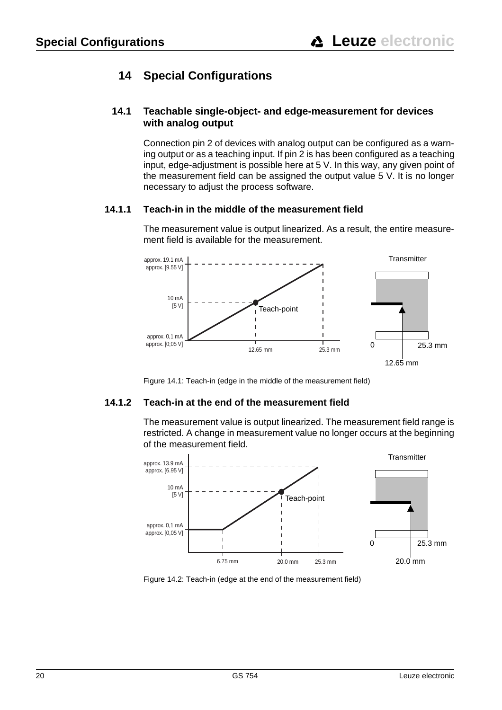## <span id="page-18-0"></span>**14 Special Configurations**

### <span id="page-18-1"></span>**14.1 Teachable single-object- and edge-measurement for devices with analog output**

Connection pin 2 of devices with analog output can be configured as a warning output or as a teaching input. If pin 2 is has been configured as a teaching input, edge-adjustment is possible here at 5 V. In this way, any given point of the measurement field can be assigned the output value 5 V. It is no longer necessary to adjust the process software.

### **14.1.1 Teach-in in the middle of the measurement field**

<span id="page-18-2"></span>The measurement value is output linearized. As a result, the entire measurement field is available for the measurement.



<span id="page-18-3"></span>Figure 14.1: Teach-in (edge in the middle of the measurement field)

### **14.1.2 Teach-in at the end of the measurement field**

The measurement value is output linearized. The measurement field range is restricted. A change in measurement value no longer occurs at the beginning of the measurement field.



Figure 14.2: Teach-in (edge at the end of the measurement field)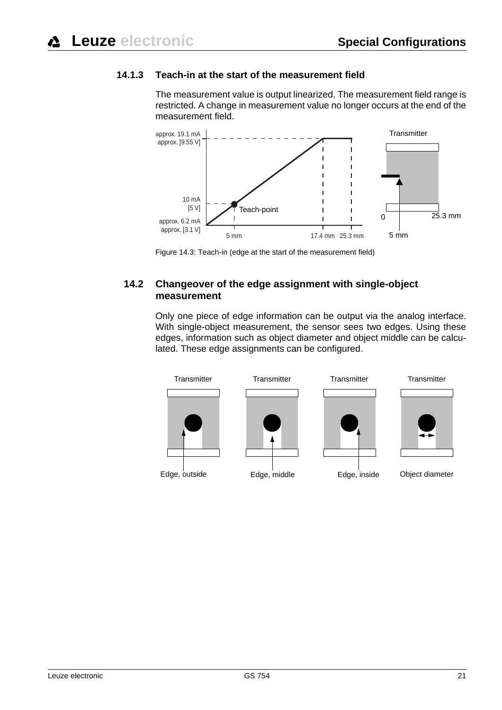## **14.1.3 Teach-in at the start of the measurement field**

<span id="page-19-0"></span>The measurement value is output linearized. The measurement field range is restricted. A change in measurement value no longer occurs at the end of the measurement field.



<span id="page-19-1"></span>Figure 14.3: Teach-in (edge at the start of the measurement field)

### **14.2 Changeover of the edge assignment with single-object measurement**

Only one piece of edge information can be output via the analog interface. With single-object measurement, the sensor sees two edges. Using these edges, information such as object diameter and object middle can be calculated. These edge assignments can be configured.

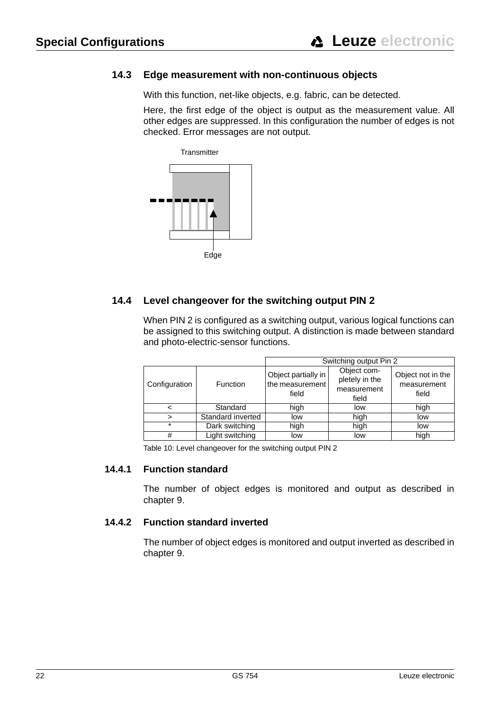### **14.3 Edge measurement with non-continuous objects**

<span id="page-20-0"></span>With this function, net-like objects, e.g. fabric, can be detected.

Here, the first edge of the object is output as the measurement value. All other edges are suppressed. In this configuration the number of edges is not checked. Error messages are not output.



### **14.4 Level changeover for the switching output PIN 2**

<span id="page-20-1"></span>When PIN 2 is configured as a switching output, various logical functions can be assigned to this switching output. A distinction is made between standard and photo-electric-sensor functions.

|               |                   | Switching output Pin 2                          |                                                       |                                           |  |  |
|---------------|-------------------|-------------------------------------------------|-------------------------------------------------------|-------------------------------------------|--|--|
| Configuration | Function          | Object partially in<br>the measurement<br>field | Object com-<br>pletely in the<br>measurement<br>field | Object not in the<br>measurement<br>field |  |  |
| <             | Standard          | high                                            | low                                                   | high                                      |  |  |
| $\geq$        | Standard inverted | low                                             | high                                                  | low                                       |  |  |
| $\star$       | Dark switching    | high                                            | high                                                  | low                                       |  |  |
| #             | Light switching   | low                                             | low                                                   | high                                      |  |  |

<span id="page-20-2"></span>Table 10: Level changeover for the switching output PIN 2

#### **14.4.1 Function standard**

The number of object edges is monitored and output as described in chapter 9.

#### **14.4.2 Function standard inverted**

<span id="page-20-3"></span>The number of object edges is monitored and output inverted as described in chapter 9.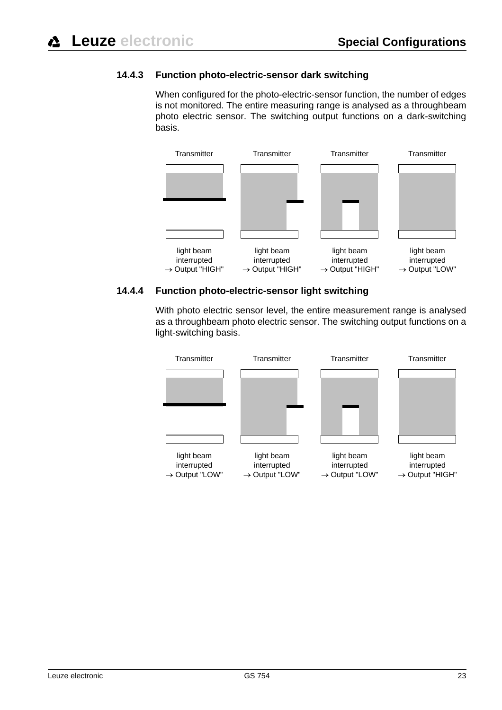#### **14.4.3 Function photo-electric-sensor dark switching**

<span id="page-21-0"></span>When configured for the photo-electric-sensor function, the number of edges is not monitored. The entire measuring range is analysed as a throughbeam photo electric sensor. The switching output functions on a dark-switching basis.



#### **14.4.4 Function photo-electric-sensor light switching**

<span id="page-21-1"></span>With photo electric sensor level, the entire measurement range is analysed as a throughbeam photo electric sensor. The switching output functions on a light-switching basis.